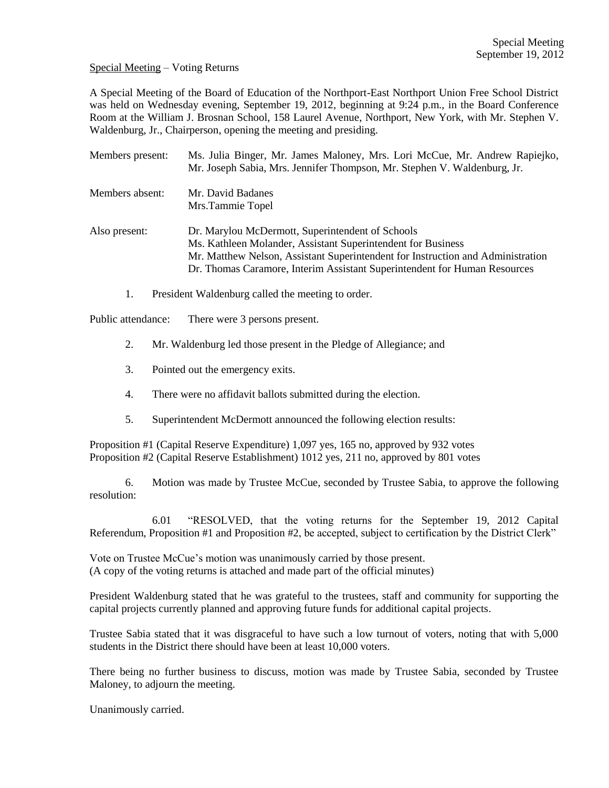Special Meeting – Voting Returns

A Special Meeting of the Board of Education of the Northport-East Northport Union Free School District was held on Wednesday evening, September 19, 2012, beginning at 9:24 p.m., in the Board Conference Room at the William J. Brosnan School, 158 Laurel Avenue, Northport, New York, with Mr. Stephen V. Waldenburg, Jr., Chairperson, opening the meeting and presiding.

| Members present: | Ms. Julia Binger, Mr. James Maloney, Mrs. Lori McCue, Mr. Andrew Rapiejko,<br>Mr. Joseph Sabia, Mrs. Jennifer Thompson, Mr. Stephen V. Waldenburg, Jr.                                                                                                                           |
|------------------|----------------------------------------------------------------------------------------------------------------------------------------------------------------------------------------------------------------------------------------------------------------------------------|
| Members absent:  | Mr. David Badanes<br>Mrs.Tammie Topel                                                                                                                                                                                                                                            |
| Also present:    | Dr. Marylou McDermott, Superintendent of Schools<br>Ms. Kathleen Molander, Assistant Superintendent for Business<br>Mr. Matthew Nelson, Assistant Superintendent for Instruction and Administration<br>Dr. Thomas Caramore, Interim Assistant Superintendent for Human Resources |

1. President Waldenburg called the meeting to order.

Public attendance: There were 3 persons present.

- 2. Mr. Waldenburg led those present in the Pledge of Allegiance; and
- 3. Pointed out the emergency exits.
- 4. There were no affidavit ballots submitted during the election.
- 5. Superintendent McDermott announced the following election results:

Proposition #1 (Capital Reserve Expenditure) 1,097 yes, 165 no, approved by 932 votes Proposition #2 (Capital Reserve Establishment) 1012 yes, 211 no, approved by 801 votes

6. Motion was made by Trustee McCue, seconded by Trustee Sabia, to approve the following resolution:

6.01 "RESOLVED, that the voting returns for the September 19, 2012 Capital Referendum, Proposition #1 and Proposition #2, be accepted, subject to certification by the District Clerk"

Vote on Trustee McCue's motion was unanimously carried by those present. (A copy of the voting returns is attached and made part of the official minutes)

President Waldenburg stated that he was grateful to the trustees, staff and community for supporting the capital projects currently planned and approving future funds for additional capital projects.

Trustee Sabia stated that it was disgraceful to have such a low turnout of voters, noting that with 5,000 students in the District there should have been at least 10,000 voters.

There being no further business to discuss, motion was made by Trustee Sabia, seconded by Trustee Maloney, to adjourn the meeting.

Unanimously carried.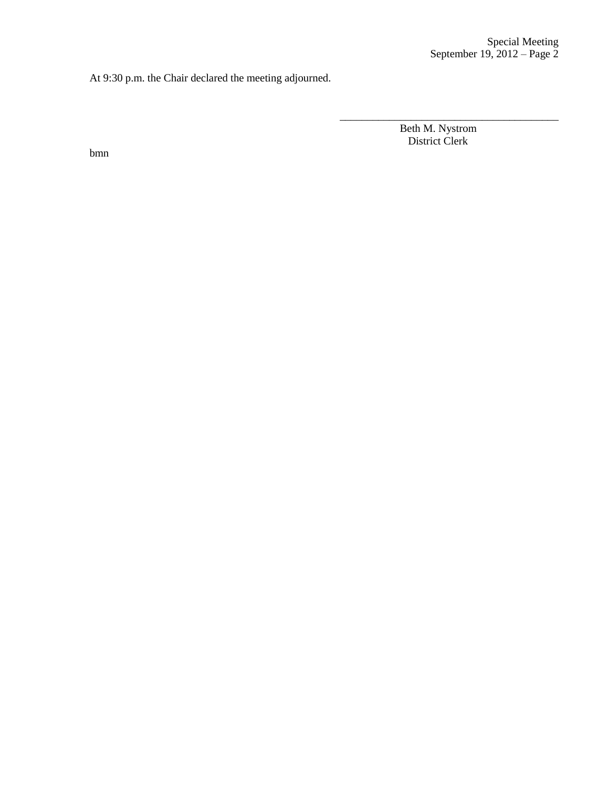At 9:30 p.m. the Chair declared the meeting adjourned.

 Beth M. Nystrom District Clerk

\_\_\_\_\_\_\_\_\_\_\_\_\_\_\_\_\_\_\_\_\_\_\_\_\_\_\_\_\_\_\_\_\_\_\_\_\_\_\_\_

bmn